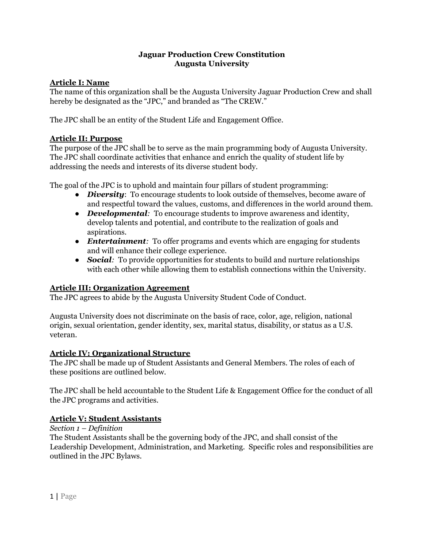## **Jaguar Production Crew Constitution Augusta University**

# **Article I: Name**

The name of this organization shall be the Augusta University Jaguar Production Crew and shall hereby be designated as the "JPC," and branded as "The CREW."

The JPC shall be an entity of the Student Life and Engagement Office.

# **Article II: Purpose**

The purpose of the JPC shall be to serve as the main programming body of Augusta University. The JPC shall coordinate activities that enhance and enrich the quality of student life by addressing the needs and interests of its diverse student body.

The goal of the JPC is to uphold and maintain four pillars of student programming:

- *Diversity*: To encourage students to look outside of themselves, become aware of and respectful toward the values, customs, and differences in the world around them.
- *Developmental:* To encourage students to improve awareness and identity, develop talents and potential, and contribute to the realization of goals and aspirations.
- *Entertainment:* To offer programs and events which are engaging for students and will enhance their college experience.
- *Social*: To provide opportunities for students to build and nurture relationships with each other while allowing them to establish connections within the University.

# **Article III: Organization Agreement**

The JPC agrees to abide by the Augusta University Student Code of Conduct.

Augusta University does not discriminate on the basis of race, color, age, religion, national origin, sexual orientation, gender identity, sex, marital status, disability, or status as a U.S. veteran.

## **Article IV: Organizational Structure**

The JPC shall be made up of Student Assistants and General Members. The roles of each of these positions are outlined below.

The JPC shall be held accountable to the Student Life & Engagement Office for the conduct of all the JPC programs and activities.

# **Article V: Student Assistants**

*Section 1 – Definition*

The Student Assistants shall be the governing body of the JPC, and shall consist of the Leadership Development, Administration, and Marketing. Specific roles and responsibilities are outlined in the JPC Bylaws.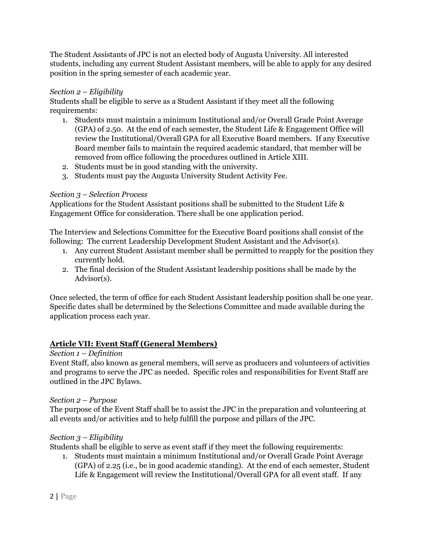The Student Assistants of JPC is not an elected body of Augusta University. All interested students, including any current Student Assistant members, will be able to apply for any desired position in the spring semester of each academic year.

# *Section 2 – Eligibility*

Students shall be eligible to serve as a Student Assistant if they meet all the following requirements:

- 1. Students must maintain a minimum Institutional and/or Overall Grade Point Average (GPA) of 2.50. At the end of each semester, the Student Life & Engagement Office will review the Institutional/Overall GPA for all Executive Board members. If any Executive Board member fails to maintain the required academic standard, that member will be removed from office following the procedures outlined in Article XIII.
- 2. Students must be in good standing with the university.
- 3. Students must pay the Augusta University Student Activity Fee.

## *Section 3 – Selection Process*

Applications for the Student Assistant positions shall be submitted to the Student Life & Engagement Office for consideration. There shall be one application period.

The Interview and Selections Committee for the Executive Board positions shall consist of the following: The current Leadership Development Student Assistant and the Advisor(s).

- 1. Any current Student Assistant member shall be permitted to reapply for the position they currently hold.
- 2. The final decision of the Student Assistant leadership positions shall be made by the Advisor(s).

Once selected, the term of office for each Student Assistant leadership position shall be one year. Specific dates shall be determined by the Selections Committee and made available during the application process each year.

# **Article VII: Event Staff (General Members)**

## *Section 1 – Definition*

Event Staff, also known as general members, will serve as producers and volunteers of activities and programs to serve the JPC as needed. Specific roles and responsibilities for Event Staff are outlined in the JPC Bylaws.

## *Section 2 – Purpose*

The purpose of the Event Staff shall be to assist the JPC in the preparation and volunteering at all events and/or activities and to help fulfill the purpose and pillars of the JPC.

## *Section 3 – Eligibility*

Students shall be eligible to serve as event staff if they meet the following requirements:

1. Students must maintain a minimum Institutional and/or Overall Grade Point Average (GPA) of 2.25 (i.e., be in good academic standing). At the end of each semester, Student Life & Engagement will review the Institutional/Overall GPA for all event staff. If any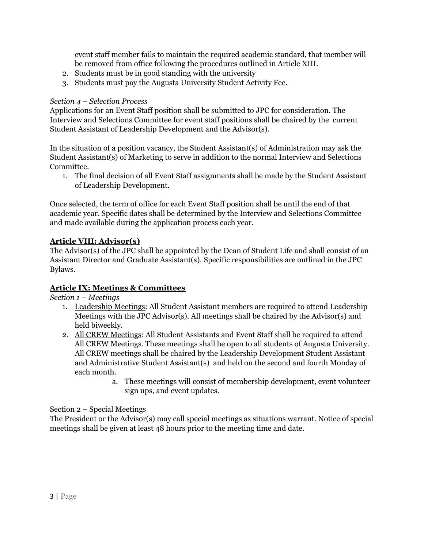event staff member fails to maintain the required academic standard, that member will be removed from office following the procedures outlined in Article XIII.

- 2. Students must be in good standing with the university
- 3. Students must pay the Augusta University Student Activity Fee.

# *Section 4 – Selection Process*

Applications for an Event Staff position shall be submitted to JPC for consideration. The Interview and Selections Committee for event staff positions shall be chaired by the current Student Assistant of Leadership Development and the Advisor(s).

In the situation of a position vacancy, the Student Assistant(s) of Administration may ask the Student Assistant(s) of Marketing to serve in addition to the normal Interview and Selections Committee.

1. The final decision of all Event Staff assignments shall be made by the Student Assistant of Leadership Development.

Once selected, the term of office for each Event Staff position shall be until the end of that academic year. Specific dates shall be determined by the Interview and Selections Committee and made available during the application process each year.

# **Article VIII: Advisor(s)**

The Advisor(s) of the JPC shall be appointed by the Dean of Student Life and shall consist of an Assistant Director and Graduate Assistant(s). Specific responsibilities are outlined in the JPC Bylaws.

# **Article IX: Meetings & Committees**

*Section 1 – Meetings*

- 1. Leadership Meetings: All Student Assistant members are required to attend Leadership Meetings with the JPC Advisor(s). All meetings shall be chaired by the Advisor(s) and held biweekly.
- 2. All CREW Meetings: All Student Assistants and Event Staff shall be required to attend All CREW Meetings. These meetings shall be open to all students of Augusta University. All CREW meetings shall be chaired by the Leadership Development Student Assistant and Administrative Student Assistant(s) and held on the second and fourth Monday of each month.
	- a. These meetings will consist of membership development, event volunteer sign ups, and event updates.

# Section 2 – Special Meetings

The President or the Advisor(s) may call special meetings as situations warrant. Notice of special meetings shall be given at least 48 hours prior to the meeting time and date.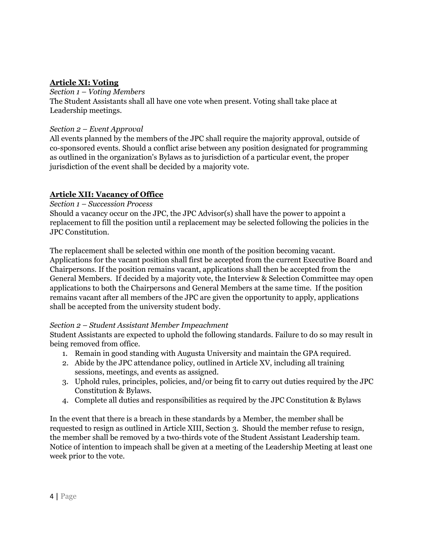## **Article XI: Voting**

#### *Section 1 – Voting Members*

The Student Assistants shall all have one vote when present. Voting shall take place at Leadership meetings.

#### *Section 2 – Event Approval*

All events planned by the members of the JPC shall require the majority approval, outside of co-sponsored events. Should a conflict arise between any position designated for programming as outlined in the organization's Bylaws as to jurisdiction of a particular event, the proper jurisdiction of the event shall be decided by a majority vote.

## **Article XII: Vacancy of Office**

*Section 1 – Succession Process*

Should a vacancy occur on the JPC, the JPC Advisor(s) shall have the power to appoint a replacement to fill the position until a replacement may be selected following the policies in the JPC Constitution.

The replacement shall be selected within one month of the position becoming vacant. Applications for the vacant position shall first be accepted from the current Executive Board and Chairpersons. If the position remains vacant, applications shall then be accepted from the General Members. If decided by a majority vote, the Interview & Selection Committee may open applications to both the Chairpersons and General Members at the same time. If the position remains vacant after all members of the JPC are given the opportunity to apply, applications shall be accepted from the university student body.

## *Section 2 – Student Assistant Member Impeachment*

Student Assistants are expected to uphold the following standards. Failure to do so may result in being removed from office.

- 1. Remain in good standing with Augusta University and maintain the GPA required.
- 2. Abide by the JPC attendance policy, outlined in Article XV, including all training sessions, meetings, and events as assigned.
- 3. Uphold rules, principles, policies, and/or being fit to carry out duties required by the JPC Constitution & Bylaws.
- 4. Complete all duties and responsibilities as required by the JPC Constitution & Bylaws

In the event that there is a breach in these standards by a Member, the member shall be requested to resign as outlined in Article XIII, Section 3. Should the member refuse to resign, the member shall be removed by a two-thirds vote of the Student Assistant Leadership team. Notice of intention to impeach shall be given at a meeting of the Leadership Meeting at least one week prior to the vote.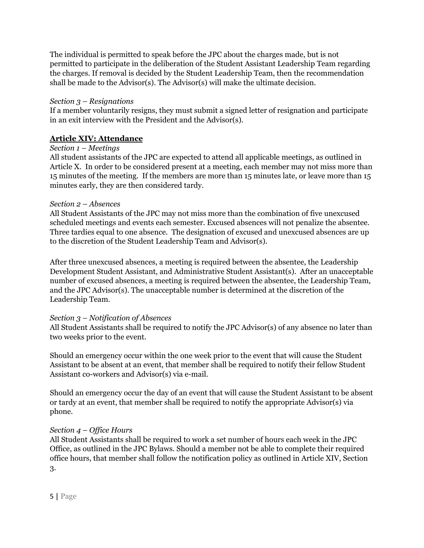The individual is permitted to speak before the JPC about the charges made, but is not permitted to participate in the deliberation of the Student Assistant Leadership Team regarding the charges. If removal is decided by the Student Leadership Team, then the recommendation shall be made to the Advisor(s). The Advisor(s) will make the ultimate decision.

## *Section 3 – Resignations*

If a member voluntarily resigns, they must submit a signed letter of resignation and participate in an exit interview with the President and the Advisor(s).

# **Article XIV: Attendance**

## *Section 1 – Meetings*

All student assistants of the JPC are expected to attend all applicable meetings, as outlined in Article X. In order to be considered present at a meeting, each member may not miss more than 15 minutes of the meeting. If the members are more than 15 minutes late, or leave more than 15 minutes early, they are then considered tardy.

## *Section 2 – Absences*

All Student Assistants of the JPC may not miss more than the combination of five unexcused scheduled meetings and events each semester. Excused absences will not penalize the absentee. Three tardies equal to one absence. The designation of excused and unexcused absences are up to the discretion of the Student Leadership Team and Advisor(s).

After three unexcused absences, a meeting is required between the absentee, the Leadership Development Student Assistant, and Administrative Student Assistant(s). After an unacceptable number of excused absences, a meeting is required between the absentee, the Leadership Team, and the JPC Advisor(s). The unacceptable number is determined at the discretion of the Leadership Team.

## *Section 3 – Notification of Absences*

All Student Assistants shall be required to notify the JPC Advisor(s) of any absence no later than two weeks prior to the event.

Should an emergency occur within the one week prior to the event that will cause the Student Assistant to be absent at an event, that member shall be required to notify their fellow Student Assistant co-workers and Advisor(s) via e-mail.

Should an emergency occur the day of an event that will cause the Student Assistant to be absent or tardy at an event, that member shall be required to notify the appropriate Advisor(s) via phone.

# *Section 4 – Of ice Hours*

All Student Assistants shall be required to work a set number of hours each week in the JPC Office, as outlined in the JPC Bylaws. Should a member not be able to complete their required office hours, that member shall follow the notification policy as outlined in Article XIV, Section 3.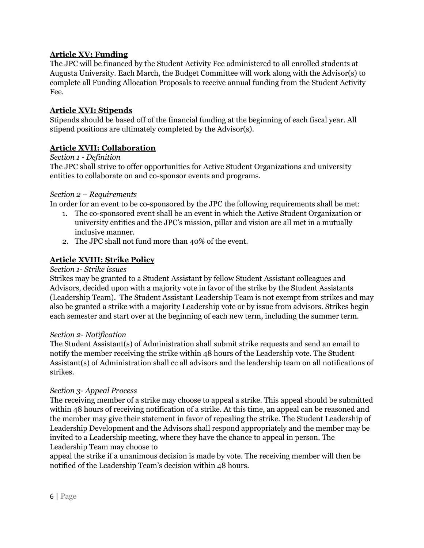## **Article XV: Funding**

The JPC will be financed by the Student Activity Fee administered to all enrolled students at Augusta University. Each March, the Budget Committee will work along with the Advisor(s) to complete all Funding Allocation Proposals to receive annual funding from the Student Activity Fee.

## **Article XVI: Stipends**

Stipends should be based off of the financial funding at the beginning of each fiscal year. All stipend positions are ultimately completed by the Advisor(s).

## **Article XVII: Collaboration**

## *Section 1 - Definition*

The JPC shall strive to offer opportunities for Active Student Organizations and university entities to collaborate on and co-sponsor events and programs.

## *Section 2 – Requirements*

In order for an event to be co-sponsored by the JPC the following requirements shall be met:

- 1. The co-sponsored event shall be an event in which the Active Student Organization or university entities and the JPC's mission, pillar and vision are all met in a mutually inclusive manner.
- 2. The JPC shall not fund more than 40% of the event.

## **Article XVIII: Strike Policy**

#### *Section 1- Strike issues*

Strikes may be granted to a Student Assistant by fellow Student Assistant colleagues and Advisors, decided upon with a majority vote in favor of the strike by the Student Assistants (Leadership Team). The Student Assistant Leadership Team is not exempt from strikes and may also be granted a strike with a majority Leadership vote or by issue from advisors. Strikes begin each semester and start over at the beginning of each new term, including the summer term.

#### *Section 2- Notification*

The Student Assistant(s) of Administration shall submit strike requests and send an email to notify the member receiving the strike within 48 hours of the Leadership vote. The Student Assistant(s) of Administration shall cc all advisors and the leadership team on all notifications of strikes.

## *Section 3- Appeal Process*

The receiving member of a strike may choose to appeal a strike. This appeal should be submitted within 48 hours of receiving notification of a strike. At this time, an appeal can be reasoned and the member may give their statement in favor of repealing the strike. The Student Leadership of Leadership Development and the Advisors shall respond appropriately and the member may be invited to a Leadership meeting, where they have the chance to appeal in person. The Leadership Team may choose to

appeal the strike if a unanimous decision is made by vote. The receiving member will then be notified of the Leadership Team's decision within 48 hours.